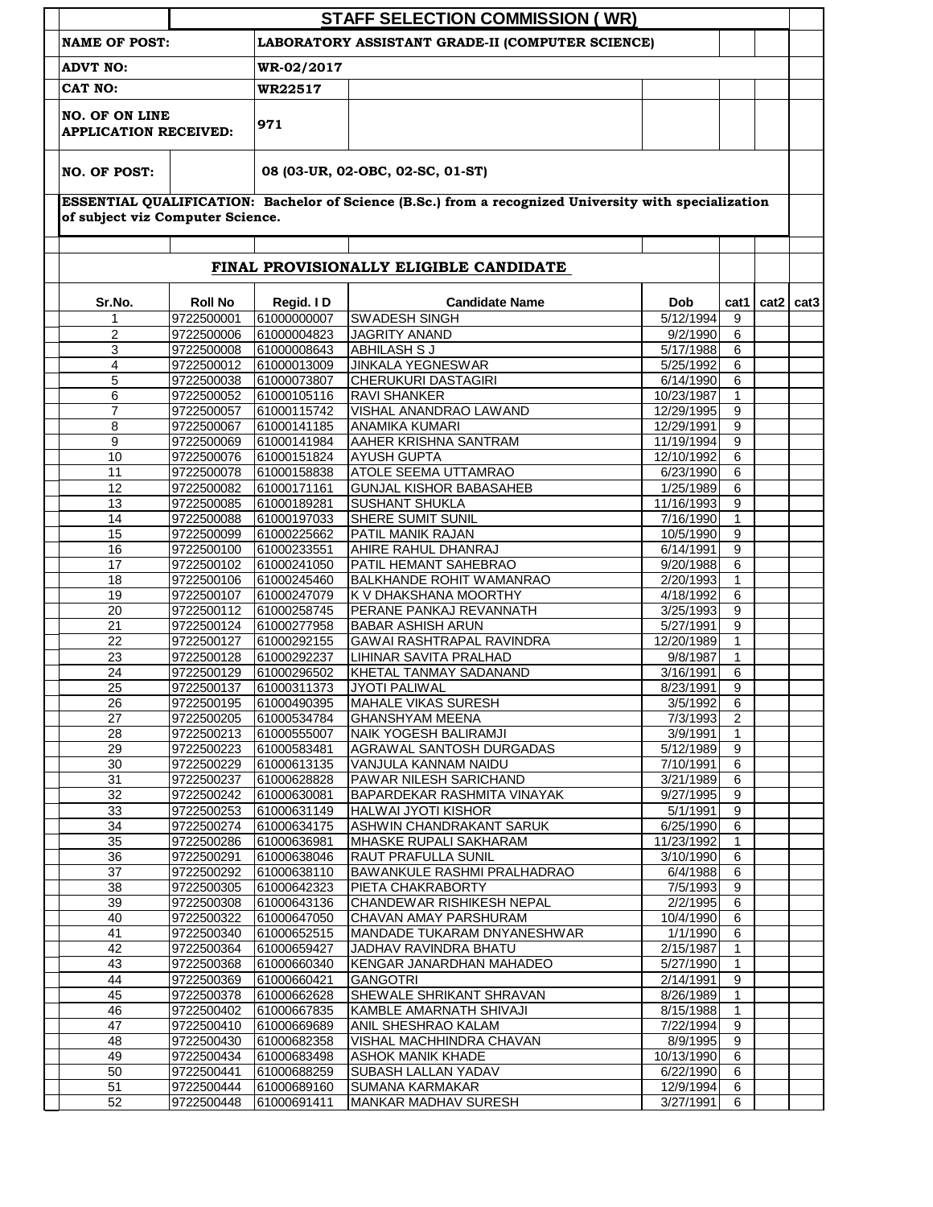|                                  |                          |                            | <b>STAFF SELECTION COMMISSION (WR)</b>                                                                |                         |                   |                    |  |
|----------------------------------|--------------------------|----------------------------|-------------------------------------------------------------------------------------------------------|-------------------------|-------------------|--------------------|--|
| <b>NAME OF POST:</b>             |                          |                            | LABORATORY ASSISTANT GRADE-II (COMPUTER SCIENCE)                                                      |                         |                   |                    |  |
| <b>ADVT NO:</b>                  |                          | WR-02/2017                 |                                                                                                       |                         |                   |                    |  |
| CAT NO:                          |                          | WR22517                    |                                                                                                       |                         |                   |                    |  |
| <b>NO. OF ON LINE</b>            |                          |                            |                                                                                                       |                         |                   |                    |  |
| <b>APPLICATION RECEIVED:</b>     |                          | 971                        |                                                                                                       |                         |                   |                    |  |
| <b>NO. OF POST:</b>              |                          |                            | 08 (03-UR, 02-OBC, 02-SC, 01-ST)                                                                      |                         |                   |                    |  |
|                                  |                          |                            | ESSENTIAL QUALIFICATION: Bachelor of Science (B.Sc.) from a recognized University with specialization |                         |                   |                    |  |
| of subject viz Computer Science. |                          |                            |                                                                                                       |                         |                   |                    |  |
|                                  |                          |                            | FINAL PROVISIONALLY ELIGIBLE CANDIDATE                                                                |                         |                   |                    |  |
| Sr.No.                           | <b>Roll No</b>           | Regid. ID                  | <b>Candidate Name</b>                                                                                 | Dob                     |                   | cat1   cat2   cat3 |  |
| 1                                | 9722500001               | 61000000007                | <b>SWADESH SINGH</b>                                                                                  | 5/12/1994               | 9                 |                    |  |
| 2                                | 9722500006               | 61000004823                | <b>JAGRITY ANAND</b>                                                                                  | 9/2/1990                | 6                 |                    |  |
| 3<br>4                           | 9722500008<br>9722500012 | 61000008643<br>61000013009 | <b>ABHILASH S J</b><br><b>JINKALA YEGNESWAR</b>                                                       | 5/17/1988<br>5/25/1992  | 6<br>6            |                    |  |
| 5                                | 9722500038               | 61000073807                | <b>CHERUKURI DASTAGIRI</b>                                                                            | 6/14/1990               | 6                 |                    |  |
| 6                                | 9722500052               | 61000105116                | <b>RAVI SHANKER</b>                                                                                   | 10/23/1987              | $\mathbf{1}$      |                    |  |
| $\overline{7}$                   | 9722500057               | 61000115742                | VISHAL ANANDRAO LAWAND                                                                                | 12/29/1995              | 9                 |                    |  |
| 8                                | 9722500067               | 61000141185                | <b>ANAMIKA KUMARI</b>                                                                                 | 12/29/1991              | 9                 |                    |  |
| 9                                | 9722500069               | 61000141984                | AAHER KRISHNA SANTRAM                                                                                 | 11/19/1994              | 9                 |                    |  |
| 10                               | 9722500076               | 61000151824                | <b>AYUSH GUPTA</b>                                                                                    | 12/10/1992              | 6                 |                    |  |
| 11<br>12                         | 9722500078               | 61000158838<br>61000171161 | <b>ATOLE SEEMA UTTAMRAO</b>                                                                           | 6/23/1990<br>1/25/1989  | 6<br>6            |                    |  |
| 13                               | 9722500082<br>9722500085 | 61000189281                | <b>GUNJAL KISHOR BABASAHEB</b><br><b>SUSHANT SHUKLA</b>                                               | 11/16/1993              | 9                 |                    |  |
| 14                               | 9722500088               | 61000197033                | <b>SHERE SUMIT SUNIL</b>                                                                              | 7/16/1990               | $\mathbf{1}$      |                    |  |
| 15                               | 9722500099               | 61000225662                | PATIL MANIK RAJAN                                                                                     | 10/5/1990               | 9                 |                    |  |
| 16                               | 9722500100               | 61000233551                | AHIRE RAHUL DHANRAJ                                                                                   | 6/14/1991               | 9                 |                    |  |
| 17                               | 9722500102               | 61000241050                | PATIL HEMANT SAHEBRAO                                                                                 | 9/20/1988               | 6                 |                    |  |
| 18                               | 9722500106               | 61000245460                | BALKHANDE ROHIT WAMANRAO                                                                              | 2/20/1993               | $\mathbf{1}$      |                    |  |
| 19                               | 9722500107               | 61000247079                | K V DHAKSHANA MOORTHY                                                                                 | 4/18/1992               | 6                 |                    |  |
| 20                               | 9722500112               | 61000258745<br>61000277958 | PERANE PANKAJ REVANNATH<br><b>BABAR ASHISH ARUN</b>                                                   | 3/25/1993               | 9                 |                    |  |
| 21<br>22                         | 9722500124<br>9722500127 | 61000292155                | GAWAI RASHTRAPAL RAVINDRA                                                                             | 5/27/1991<br>12/20/1989 | 9<br>$\mathbf{1}$ |                    |  |
| 23                               | 9722500128               | 61000292237                | <b>LIHINAR SAVITA PRALHAD</b>                                                                         | 9/8/1987                | 1                 |                    |  |
| 24                               | 9722500129               | 61000296502                | KHETAL TANMAY SADANAND                                                                                | 3/16/1991               | 6                 |                    |  |
| 25                               | 9722500137               | 61000311373                | <b>JYOTI PALIWAL</b>                                                                                  | 8/23/1991               | 9                 |                    |  |
| 26                               | 9722500195               | 61000490395                | MAHALE VIKAS SURESH                                                                                   | 3/5/1992                | 6                 |                    |  |
| 27                               | 9722500205               | 61000534784                | <b>GHANSHYAM MEENA</b>                                                                                | 7/3/1993                | 2                 |                    |  |
| 28                               | 9722500213               | 61000555007                | NAIK YOGESH BALIRAMJI                                                                                 | 3/9/1991                | 1                 |                    |  |
| 29                               | 9722500223               | 61000583481                | AGRAWAL SANTOSH DURGADAS                                                                              | 5/12/1989               | 9                 |                    |  |
| 30<br>31                         | 9722500229<br>9722500237 | 61000613135<br>61000628828 | VANJULA KANNAM NAIDU<br>PAWAR NILESH SARICHAND                                                        | 7/10/1991<br>3/21/1989  | 6<br>6            |                    |  |
| 32                               | 9722500242               | 61000630081                | BAPARDEKAR RASHMITA VINAYAK                                                                           | 9/27/1995               | 9                 |                    |  |
| 33                               | 9722500253               | 61000631149                | <b>HALWAI JYOTI KISHOR</b>                                                                            | 5/1/1991                | 9                 |                    |  |
| 34                               | 9722500274               | 61000634175                | ASHWIN CHANDRAKANT SARUK                                                                              | 6/25/1990               | 6                 |                    |  |
| 35                               | 9722500286               | 61000636981                | MHASKE RUPALI SAKHARAM                                                                                | 11/23/1992              | $\mathbf{1}$      |                    |  |
| 36                               | 9722500291               | 61000638046                | RAUT PRAFULLA SUNIL                                                                                   | 3/10/1990               | 6                 |                    |  |
| 37                               | 9722500292               | 61000638110                | BAWANKULE RASHMI PRALHADRAO                                                                           | 6/4/1988                | 6                 |                    |  |
| 38                               | 9722500305               | 61000642323                | PIETA CHAKRABORTY                                                                                     | 7/5/1993                | 9                 |                    |  |
| 39<br>40                         | 9722500308<br>9722500322 | 61000643136<br>61000647050 | CHANDEWAR RISHIKESH NEPAL<br>CHAVAN AMAY PARSHURAM                                                    | 2/2/1995<br>10/4/1990   | 6<br>6            |                    |  |
| 41                               | 9722500340               | 61000652515                | MANDADE TUKARAM DNYANESHWAR                                                                           | 1/1/1990                | 6                 |                    |  |
| 42                               | 9722500364               | 61000659427                | JADHAV RAVINDRA BHATU                                                                                 | 2/15/1987               | $\mathbf{1}$      |                    |  |
| 43                               | 9722500368               | 61000660340                | KENGAR JANARDHAN MAHADEO                                                                              | 5/27/1990               | 1                 |                    |  |
| 44                               | 9722500369               | 61000660421                | <b>GANGOTRI</b>                                                                                       | 2/14/1991               | 9                 |                    |  |
| 45                               | 9722500378               | 61000662628                | SHEWALE SHRIKANT SHRAVAN                                                                              | 8/26/1989               | $\mathbf{1}$      |                    |  |
| 46                               | 9722500402               | 61000667835                | KAMBLE AMARNATH SHIVAJI                                                                               | 8/15/1988               | 1                 |                    |  |
| 47                               | 9722500410               | 61000669689                | ANIL SHESHRAO KALAM                                                                                   | 7/22/1994               | 9                 |                    |  |
| 48<br>49                         | 9722500430<br>9722500434 | 61000682358<br>61000683498 | VISHAL MACHHINDRA CHAVAN<br><b>ASHOK MANIK KHADE</b>                                                  | 8/9/1995<br>10/13/1990  | 9<br>6            |                    |  |
| 50                               | 9722500441               | 61000688259                | SUBASH LALLAN YADAV                                                                                   | 6/22/1990               | 6                 |                    |  |
|                                  |                          |                            |                                                                                                       |                         |                   |                    |  |
| 51                               | 9722500444               | 61000689160                | <b>SUMANA KARMAKAR</b>                                                                                | 12/9/1994               | 6                 |                    |  |